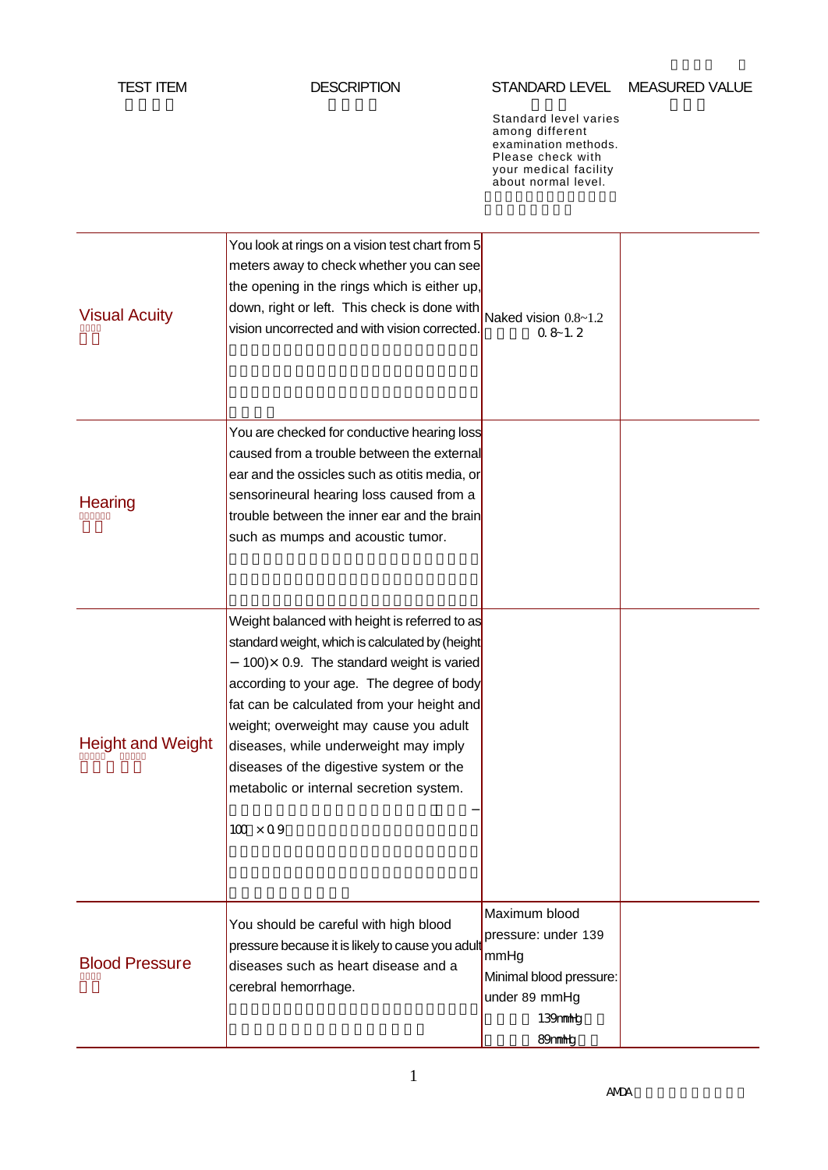#### STANDARD LEVEL MEASURED VALUE

Standard level varies among different examination methods. Please check with your medical facility about normal level.

| <b>Visual Acuity</b>     | You look at rings on a vision test chart from 5<br>meters away to check whether you can see<br>the opening in the rings which is either up,<br>down, right or left. This check is done with<br>vision uncorrected and with vision corrected.                                                                                                                                                                                                | Naked vision 0.8~1.2<br>$0.8 - 1.2$                                                                                        |  |
|--------------------------|---------------------------------------------------------------------------------------------------------------------------------------------------------------------------------------------------------------------------------------------------------------------------------------------------------------------------------------------------------------------------------------------------------------------------------------------|----------------------------------------------------------------------------------------------------------------------------|--|
| Hearing                  | You are checked for conductive hearing loss<br>caused from a trouble between the external<br>ear and the ossicles such as otitis media, or<br>sensorineural hearing loss caused from a<br>trouble between the inner ear and the brain<br>such as mumps and acoustic tumor.                                                                                                                                                                  |                                                                                                                            |  |
| <b>Height and Weight</b> | Weight balanced with height is referred to as<br>standard weight, which is calculated by (height<br>100) $\times$ 0.9. The standard weight is varied<br>according to your age. The degree of body<br>fat can be calculated from your height and<br>weight; overweight may cause you adult<br>diseases, while underweight may imply<br>diseases of the digestive system or the<br>metabolic or internal secretion system.<br>$100 \times 09$ |                                                                                                                            |  |
| <b>Blood Pressure</b>    | You should be careful with high blood<br>pressure because it is likely to cause you adul<br>diseases such as heart disease and a<br>cerebral hemorrhage.                                                                                                                                                                                                                                                                                    | Maximum blood<br>pressure: under 139<br>mmHg<br>Minimal blood pressure:<br>under 89 mmHg<br>139mmhtg<br>89mmh <sub>E</sub> |  |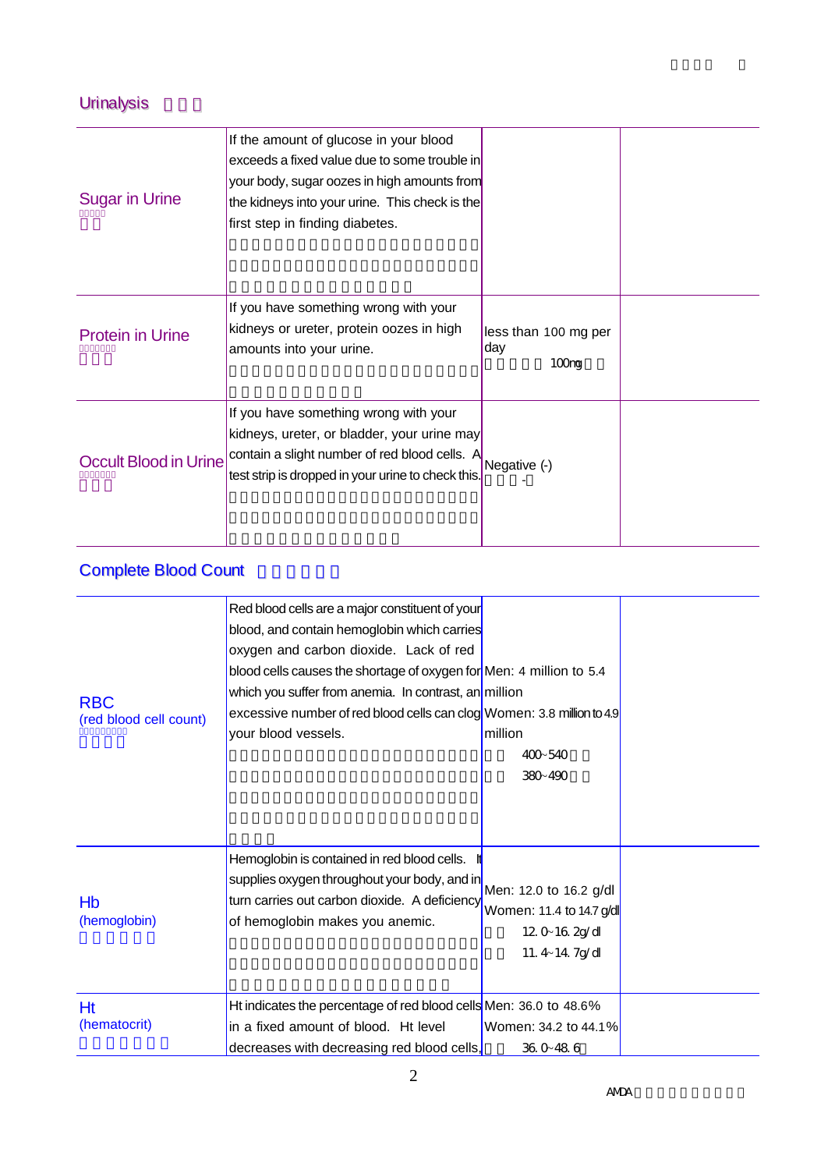## Urinalysis

| <b>Sugar in Urine</b>        | If the amount of glucose in your blood<br>exceeds a fixed value due to some trouble in<br>your body, sugar oozes in high amounts from<br>the kidneys into your urine. This check is the<br>first step in finding diabetes. |                                                  |  |
|------------------------------|----------------------------------------------------------------------------------------------------------------------------------------------------------------------------------------------------------------------------|--------------------------------------------------|--|
| <b>Protein in Urine</b>      | If you have something wrong with your<br>kidneys or ureter, protein oozes in high<br>amounts into your urine.                                                                                                              | less than 100 mg per<br>day<br>100 <sub>ng</sub> |  |
| <b>Occult Blood in Urine</b> | If you have something wrong with your<br>kidneys, ureter, or bladder, your urine may<br>contain a slight number of red blood cells. A<br>test strip is dropped in your urine to check this.                                | Negative (-)                                     |  |

# Complete Blood Count

| <b>RBC</b><br>(red blood cell count) | Red blood cells are a major constituent of your<br>blood, and contain hemoglobin which carries<br>oxygen and carbon dioxide. Lack of red<br>blood cells causes the shortage of oxygen for Men: 4 million to 5.4<br>which you suffer from anemia. In contrast, an million<br>excessive number of red blood cells can clog Women: 3.8 million to 4.9<br>your blood vessels. | million<br>400-540<br>380-490                                   |  |
|--------------------------------------|---------------------------------------------------------------------------------------------------------------------------------------------------------------------------------------------------------------------------------------------------------------------------------------------------------------------------------------------------------------------------|-----------------------------------------------------------------|--|
| Hb<br>(hemoglobin)                   | Hemoglobin is contained in red blood cells.<br>supplies oxygen throughout your body, and in Men: 12.0 to 16.2 g/dl<br>turn carries out carbon dioxide. A deficiency<br>of hemoglobin makes you anemic.                                                                                                                                                                    | Women: 11.4 to 14.7 g/dl<br>$120 - 162g/d$<br>11. $4 - 14$ 7g/d |  |
| <b>Ht</b><br>(hematocrit)            | Ht indicates the percentage of red blood cells Men: 36.0 to 48.6%<br>in a fixed amount of blood. Ht level<br>decreases with decreasing red blood cells,                                                                                                                                                                                                                   | Women: 34.2 to 44.1%<br>360-486                                 |  |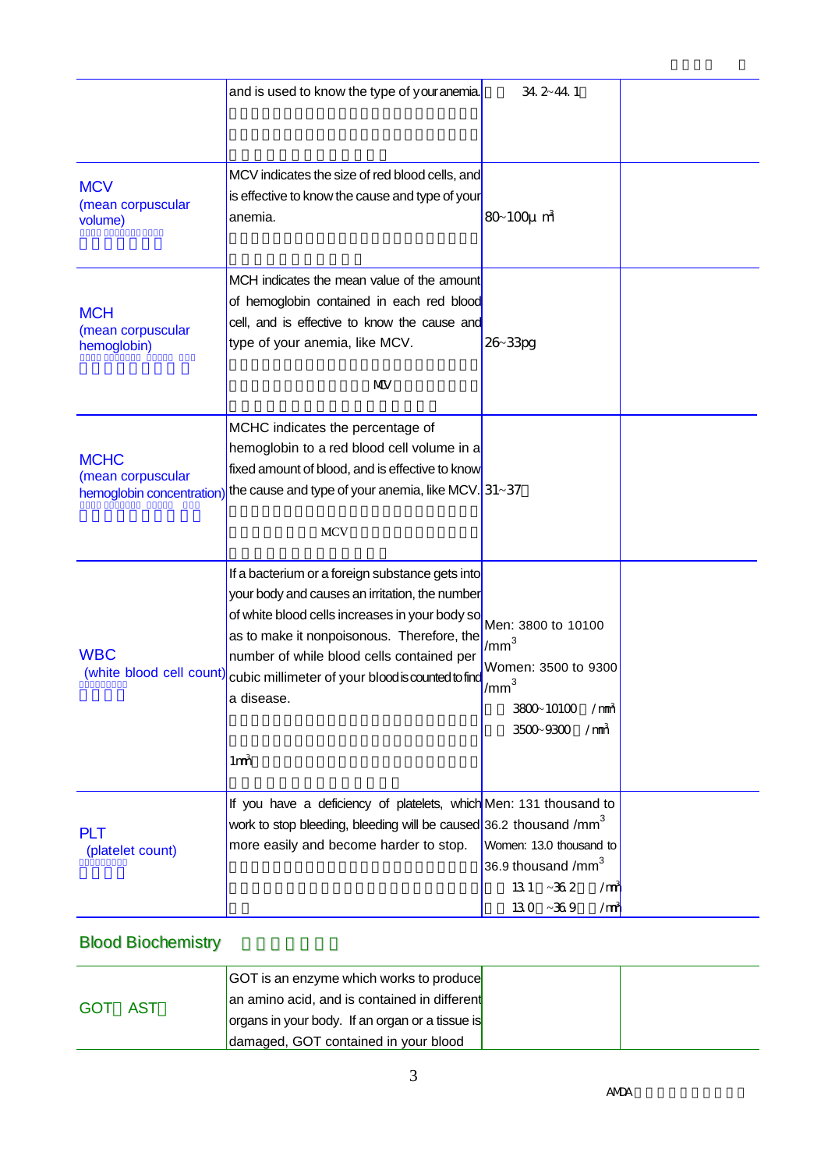|                                                               | and is used to know the type of youranemia.                                                                                                                                                                                                                                                                                          | 34.2~44.1                                                                                                                             |  |
|---------------------------------------------------------------|--------------------------------------------------------------------------------------------------------------------------------------------------------------------------------------------------------------------------------------------------------------------------------------------------------------------------------------|---------------------------------------------------------------------------------------------------------------------------------------|--|
| <b>MCV</b><br>(mean corpuscular<br>volume)                    | MCV indicates the size of red blood cells, and<br>is effective to know the cause and type of your<br>anemia.                                                                                                                                                                                                                         | $80 - 100 \mu \text{ m}^3$                                                                                                            |  |
| <b>MCH</b><br>(mean corpuscular<br>hemoglobin)                | MCH indicates the mean value of the amount<br>of hemoglobin contained in each red blood<br>cell, and is effective to know the cause and<br>type of your anemia, like MCV.<br>MUV                                                                                                                                                     | 26-33pg                                                                                                                               |  |
| <b>MCHC</b><br>(mean corpuscular<br>hemoglobin concentration) | MCHC indicates the percentage of<br>hemoglobin to a red blood cell volume in a<br>fixed amount of blood, and is effective to know<br>the cause and type of your anemia, like MCV. $31-37$<br><b>MCV</b>                                                                                                                              |                                                                                                                                       |  |
| <b>WBC</b><br>(white blood cell count)                        | If a bacterium or a foreign substance gets into<br>your body and causes an irritation, the number<br>of white blood cells increases in your body so<br>as to make it nonpoisonous. Therefore, the<br>number of while blood cells contained per<br>cubic millimeter of your blood is counted to find<br>a disease.<br>1m <sub>1</sub> | Men: 3800 to 10100<br>$1/mm^3$<br>Women: 3500 to 9300<br>1/mm <sup>3</sup><br>3800-10100<br>$\text{/mm}$<br>3500-9300<br>$\text{/mm}$ |  |
| <b>PLT</b><br>(platelet count)                                | If you have a deficiency of platelets, which Men: 131 thousand to<br>work to stop bleeding, bleeding will be caused 36.2 thousand /mm <sup>3</sup><br>more easily and become harder to stop.                                                                                                                                         | Women: 13.0 thousand to<br>36.9 thousand /mm <sup>3</sup><br>$131 - 362$<br>/m <sub>i</sub><br>$130 - 369$<br>/m                      |  |

## Blood Biochemistry

| AST<br>GOT | <b>GOT</b> is an enzyme which works to produce  |  |  |
|------------|-------------------------------------------------|--|--|
|            | an amino acid, and is contained in different    |  |  |
|            | organs in your body. If an organ or a tissue is |  |  |
|            | damaged, GOT contained in your blood            |  |  |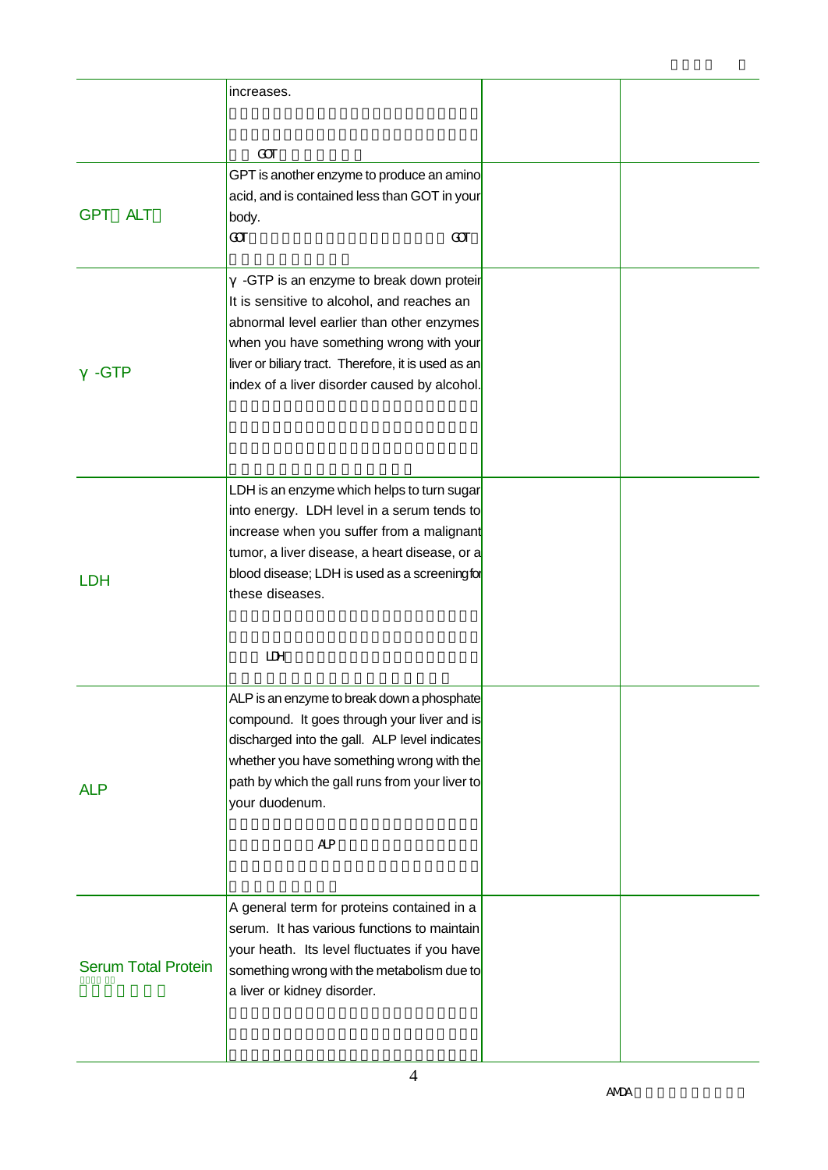|                            | increases.                                                                                                                                                                                                                                                                           |  |
|----------------------------|--------------------------------------------------------------------------------------------------------------------------------------------------------------------------------------------------------------------------------------------------------------------------------------|--|
|                            | $\alpha$                                                                                                                                                                                                                                                                             |  |
| <b>ALT</b><br>GPT          | GPT is another enzyme to produce an amino<br>acid, and is contained less than GOT in your<br>body.<br>$\mathbf{a}$<br>$\alpha$                                                                                                                                                       |  |
| -GTP                       | -GTP is an enzyme to break down proteir<br>It is sensitive to alcohol, and reaches an<br>abnormal level earlier than other enzymes<br>when you have something wrong with your<br>liver or biliary tract. Therefore, it is used as an<br>index of a liver disorder caused by alcohol. |  |
| LDH                        | LDH is an enzyme which helps to turn sugar<br>into energy. LDH level in a serum tends to<br>increase when you suffer from a malignant<br>tumor, a liver disease, a heart disease, or a<br>blood disease; LDH is used as a screeningfor<br>these diseases.<br>$I\!I\!I\!H$            |  |
| <b>ALP</b>                 | ALP is an enzyme to break down a phosphate<br>compound. It goes through your liver and is<br>discharged into the gall. ALP level indicates<br>whether you have something wrong with the<br>path by which the gall runs from your liver to<br>your duodenum.<br><b>AP</b>             |  |
| <b>Serum Total Protein</b> | A general term for proteins contained in a<br>serum. It has various functions to maintain<br>your heath. Its level fluctuates if you have<br>something wrong with the metabolism due to<br>a liver or kidney disorder.                                                               |  |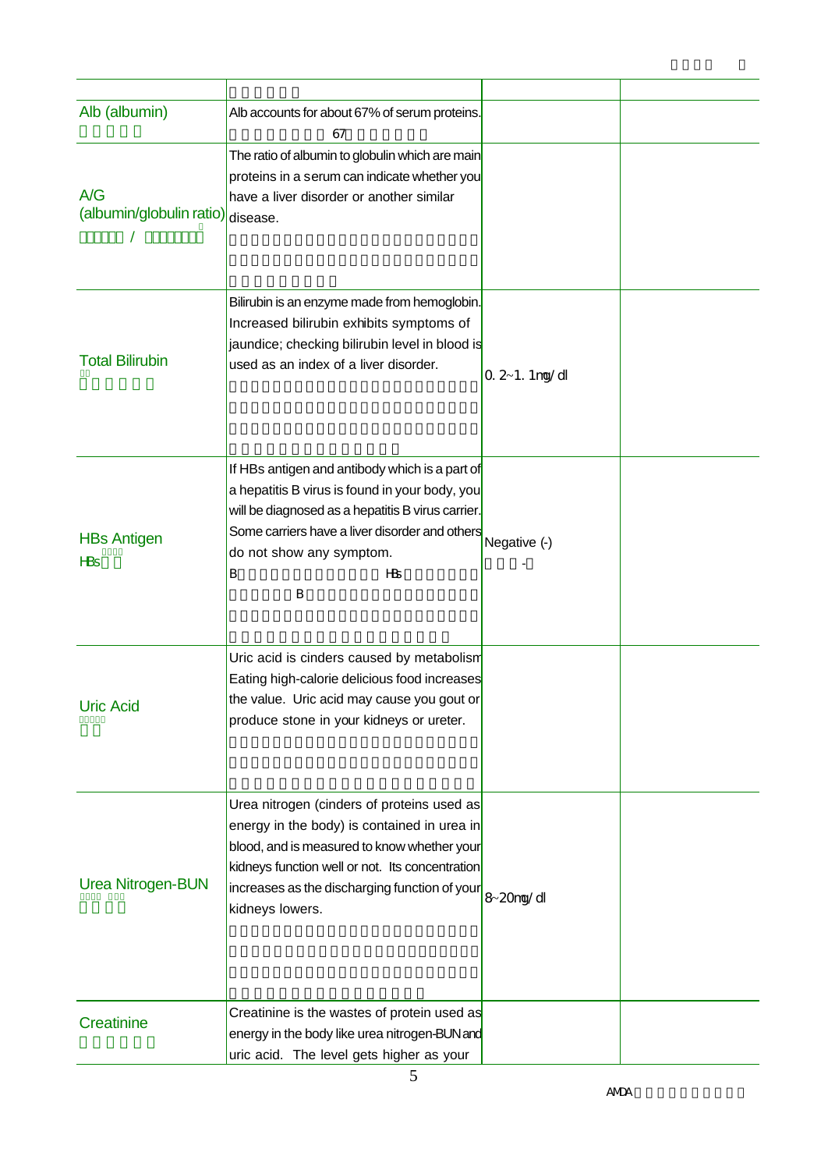| Alb (albumin)                               | Alb accounts for about 67% of serum proteins.                                                                                                                                                                                                                   |                   |  |
|---------------------------------------------|-----------------------------------------------------------------------------------------------------------------------------------------------------------------------------------------------------------------------------------------------------------------|-------------------|--|
| A/G<br>(albumin/globulin ratio)             | 67<br>The ratio of albumin to globulin which are main<br>proteins in a serum can indicate whether you<br>have a liver disorder or another similar<br>disease.                                                                                                   |                   |  |
| <b>Total Bilirubin</b>                      | Bilirubin is an enzyme made from hemoglobin.<br>Increased bilirubin exhibits symptoms of<br>jaundice; checking bilirubin level in blood is<br>used as an index of a liver disorder.                                                                             | $0.2 - 1.1$ ng/dl |  |
| <b>HBs Antigen</b><br><b>H</b> <sub>S</sub> | If HBs antigen and antibody which is a part of<br>a hepatitis B virus is found in your body, you<br>will be diagnosed as a hepatitis B virus carrier.<br>Some carriers have a liver disorder and others<br>do not show any symptom.<br>$H\!B$<br>В<br>B         | Negative (-)      |  |
| <b>Uric Acid</b>                            | Uric acid is cinders caused by metabolism<br>Eating high-calorie delicious food increases<br>the value. Uric acid may cause you gout or<br>produce stone in your kidneys or ureter.                                                                             |                   |  |
| <b>Urea Nitrogen-BUN</b>                    | Urea nitrogen (cinders of proteins used as<br>energy in the body) is contained in urea in<br>blood, and is measured to know whether your<br>kidneys function well or not. Its concentration<br>increases as the discharging function of your<br>kidneys lowers. | 8-20ng/dl         |  |
| Creatinine                                  | Creatinine is the wastes of protein used as<br>energy in the body like urea nitrogen-BUN and<br>uric acid. The level gets higher as your                                                                                                                        |                   |  |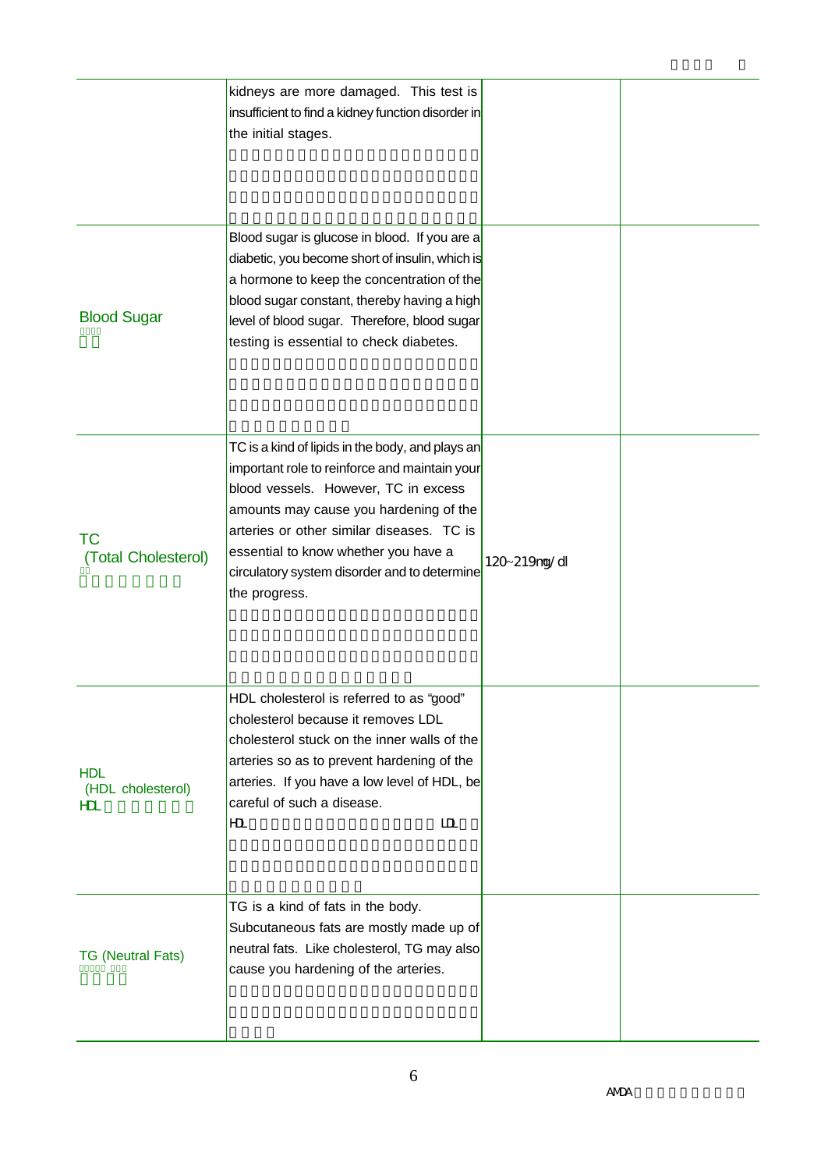|                                                   | kidneys are more damaged. This test is<br>insufficient to find a kidney function disorder in<br>the initial stages.                                                                                                                                                                                                                       |              |  |
|---------------------------------------------------|-------------------------------------------------------------------------------------------------------------------------------------------------------------------------------------------------------------------------------------------------------------------------------------------------------------------------------------------|--------------|--|
| <b>Blood Sugar</b>                                | Blood sugar is glucose in blood. If you are a<br>diabetic, you become short of insulin, which is<br>a hormone to keep the concentration of the<br>blood sugar constant, thereby having a high<br>level of blood sugar. Therefore, blood sugar<br>testing is essential to check diabetes.                                                  |              |  |
| <b>TC</b><br>(Total Cholesterol)                  | TC is a kind of lipids in the body, and plays an<br>important role to reinforce and maintain your<br>blood vessels. However, TC in excess<br>amounts may cause you hardening of the<br>arteries or other similar diseases. TC is<br>essential to know whether you have a<br>circulatory system disorder and to determine<br>the progress. | 120~219ng/dl |  |
| <b>HDL</b><br>(HDL cholesterol)<br>H <sub>L</sub> | HDL cholesterol is referred to as "good"<br>cholesterol because it removes LDL<br>cholesterol stuck on the inner walls of the<br>arteries so as to prevent hardening of the<br>arteries. If you have a low level of HDL, be<br>careful of such a disease.<br>ID.<br>H <sub>L</sub>                                                        |              |  |
| <b>TG (Neutral Fats)</b>                          | TG is a kind of fats in the body.<br>Subcutaneous fats are mostly made up of<br>neutral fats. Like cholesterol, TG may also<br>cause you hardening of the arteries.                                                                                                                                                                       |              |  |